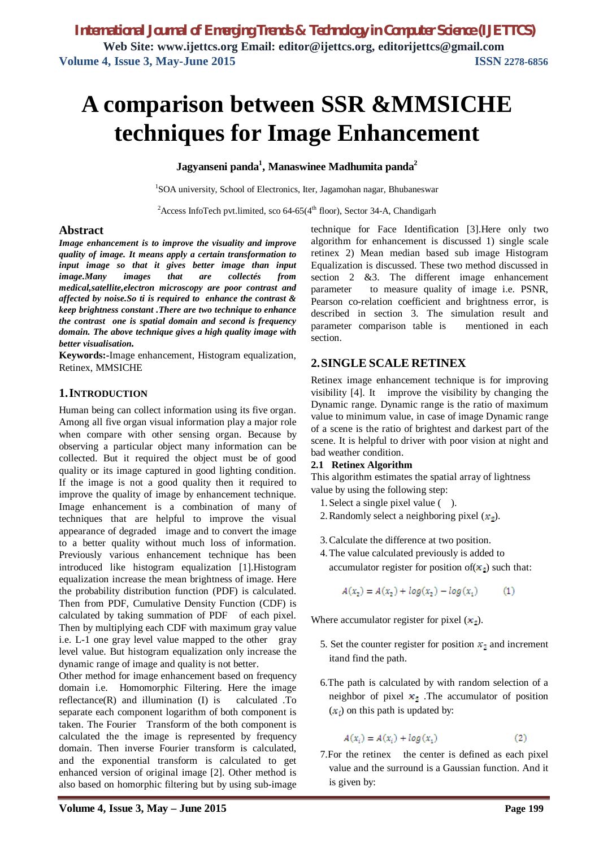# **A comparison between SSR &MMSICHE techniques for Image Enhancement**

**Jagyanseni panda<sup>1</sup> , Manaswinee Madhumita panda<sup>2</sup>**

<sup>1</sup>SOA university, School of Electronics, Iter, Jagamohan nagar, Bhubaneswar

<sup>2</sup> Access InfoTech pvt.limited, sco 64-65( $4<sup>th</sup>$  floor), Sector 34-A, Chandigarh

### **Abstract**

*Image enhancement is to improve the visuality and improve quality of image. It means apply a certain transformation to input image so that it gives better image than input image.Many images that are collectés from medical,satellite,electron microscopy are poor contrast and affected by noise.So ti is required to enhance the contrast & keep brightness constant .There are two technique to enhance the contrast one is spatial domain and second is frequency domain. The above technique gives a high quality image with better visualisation.*

**Keywords:-**Image enhancement, Histogram equalization, Retinex, MMSICHE

## **1.INTRODUCTION**

Human being can collect information using its five organ. Among all five organ visual information play a major role when compare with other sensing organ. Because by observing a particular object many information can be collected. But it required the object must be of good quality or its image captured in good lighting condition. If the image is not a good quality then it required to improve the quality of image by enhancement technique. Image enhancement is a combination of many of techniques that are helpful to improve the visual appearance of degraded image and to convert the image to a better quality without much loss of information. Previously various enhancement technique has been introduced like histogram equalization [1].Histogram equalization increase the mean brightness of image. Here the probability distribution function (PDF) is calculated. Then from PDF, Cumulative Density Function (CDF) is calculated by taking summation of PDF of each pixel. Then by multiplying each CDF with maximum gray value i.e. L-1 one gray level value mapped to the other gray level value. But histogram equalization only increase the dynamic range of image and quality is not better.

Other method for image enhancement based on frequency domain i.e. Homomorphic Filtering. Here the image reflectance(R) and illumination (I) is calculated .To separate each component logarithm of both component is taken. The Fourier Transform of the both component is calculated the the image is represented by frequency domain. Then inverse Fourier transform is calculated, and the exponential transform is calculated to get enhanced version of original image [2]. Other method is also based on homorphic filtering but by using sub-image technique for Face Identification [3].Here only two algorithm for enhancement is discussed 1) single scale retinex 2) Mean median based sub image Histogram Equalization is discussed. These two method discussed in section 2 &3. The different image enhancement parameter to measure quality of image i.e. PSNR, Pearson co-relation coefficient and brightness error, is described in section 3. The simulation result and parameter comparison table is mentioned in each section.

## **2.SINGLE SCALE RETINEX**

Retinex image enhancement technique is for improving visibility [4]. It improve the visibility by changing the Dynamic range. Dynamic range is the ratio of maximum value to minimum value, in case of image Dynamic range of a scene is the ratio of brightest and darkest part of the scene. It is helpful to driver with poor vision at night and bad weather condition.

#### **2.1 Retinex Algorithm**

This algorithm estimates the spatial array of lightness value by using the following step:

- 1.Select a single pixel value ( ).
- 2. Randomly select a neighboring pixel  $(x<sub>2</sub>)$ .
- 3.Calculate the difference at two position.
- 4.The value calculated previously is added to

accumulator register for position of 
$$
(x_2)
$$
 such that:

$$
A(x_2) = A(x_2) + \log(x_2) - \log(x_1)
$$
 (1)

Where accumulator register for pixel  $(x_2)$ .

- 5. Set the counter register for position  $x_2$  and increment itand find the path.
- 6.The path is calculated by with random selection of a neighbor of pixel  $x_1$ . The accumulator of position  $(x_i)$  on this path is updated by:

$$
A(x_i) = A(x_i) + \log(x_1) \tag{2}
$$

7. For the retinex the center is defined as each pixel value and the surround is a Gaussian function. And it is given by: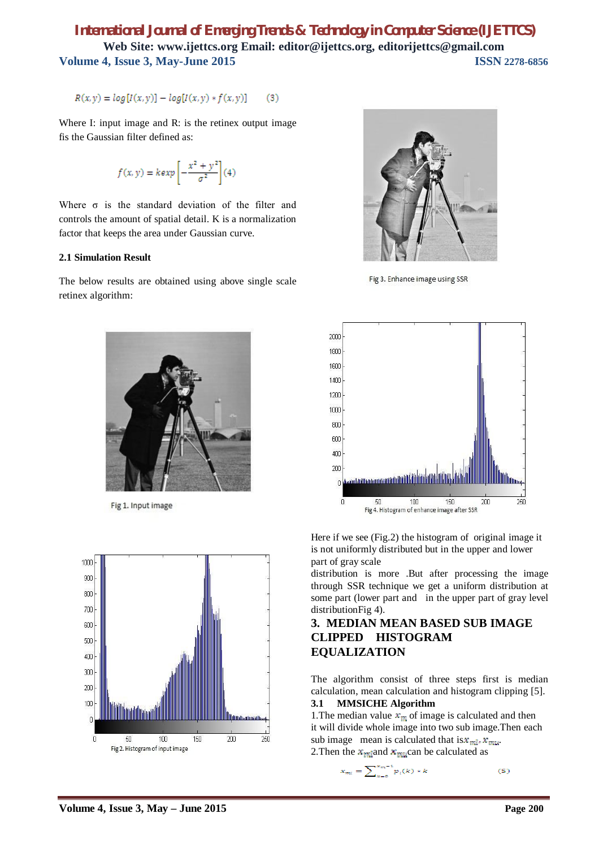# *International Journal of Emerging Trends & Technology in Computer Science (IJETTCS)* **Web Site: www.ijettcs.org Email: editor@ijettcs.org, editorijettcs@gmail.com Volume 4, Issue 3, May-June 2015 ISSN** 2278-6856

 $R(x, y) = log[I(x, y)] - log[I(x, y) * f(x, y)]$  $(3)$ 

Where I: input image and R: is the retinex output image fis the Gaussian filter defined as:

$$
f(x, y) = \frac{kexp}{\sigma^2} \left[ -\frac{x^2 + y^2}{\sigma^2} \right] (4)
$$

Where  $\sigma$  is the standard deviation of the filter and controls the amount of spatial detail. K is a normalization factor that keeps the area under Gaussian curve.

## **2.1 Simulation Result**

The below results are obtained using above single scale retinex algorithm:



Fig 1. Input image





Fig 3. Enhance image using SSR



Here if we see (Fig.2) the histogram of original image it is not uniformly distributed but in the upper and lower part of gray scale

distribution is more .But after processing the image through SSR technique we get a uniform distribution at some part (lower part and in the upper part of gray level distributionFig 4).

## **3. MEDIAN MEAN BASED SUB IMAGE CLIPPED HISTOGRAM EQUALIZATION**

The algorithm consist of three steps first is median calculation, mean calculation and histogram clipping [5].

#### **3.1 MMSICHE Algorithm**

1. The median value  $x_m$  of image is calculated and then it will divide whole image into two sub image.Then each sub image mean is calculated that  $is x_{ml}$ .  $x_{ml}$ . 2. Then the  $x_{mid}$  and  $x_{mid}$  can be calculated as

$$
x_{m1} = \sum_{k=0}^{x_{m}-1} p_i(k) * k \tag{5}
$$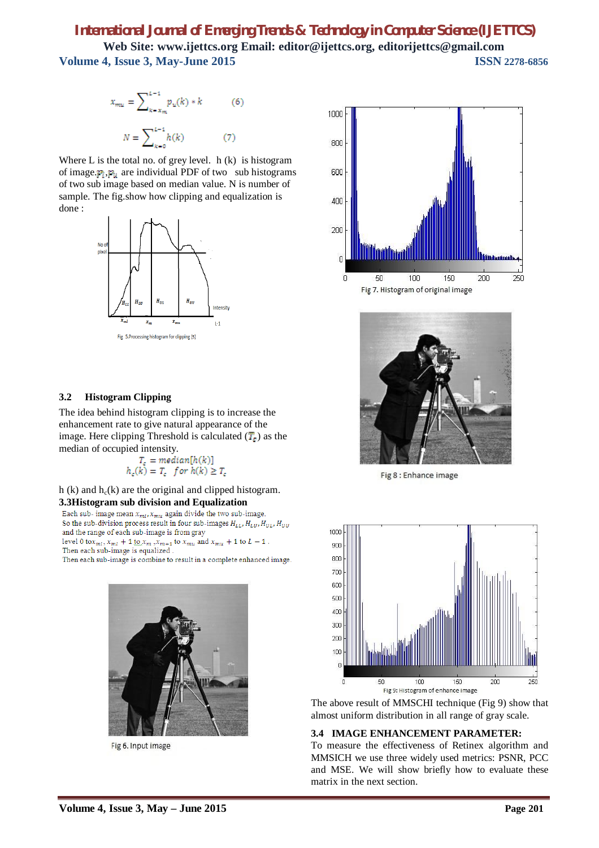# *International Journal of Emerging Trends & Technology in Computer Science (IJETTCS)* **Web Site: www.ijettcs.org Email: editor@ijettcs.org, editorijettcs@gmail.com Volume 4, Issue 3, May-June 2015 ISSN 2278-6856**

$$
x_{mu} = \sum_{k = x_m}^{L-1} p_u(k) * k
$$
 (6)  

$$
N = \sum_{k = 1}^{L-1} h(k)
$$
 (7)

Where L is the total no. of grey level.  $h(k)$  is histogram of image.  $p_1, p_2$  are individual PDF of two sub histograms of two sub image based on median value. N is number of sample. The fig.show how clipping and equalization is done :



#### **3.2 Histogram Clipping**

The idea behind histogram clipping is to increase the enhancement rate to give natural appearance of the image. Here clipping Threshold is calculated  $(T<sub>e</sub>)$  as the median of occupied intensity.

$$
T_c = median[h(k)]
$$
  

$$
h_c(k) = T_c \text{ for } h(k) \geq T_c
$$

h (k) and  $h_c(k)$  are the original and clipped histogram. **3.3Histogram sub division and Equalization**

Each sub- image mean  $x_{ml}$ ,  $x_{mu}$  again divide the two sub-image. So the sub-division process result in four sub-images  $H_{LL}$ ,  $H_{LU}$ ,  $H_{UL}$ ,  $H_{UU}$ 

and the range of each sub-image is from gray

level 0 to  $x_{ml}$ ,  $x_{ml}$  + 1 to  $x_m$ ,  $x_{m+1}$  to  $x_{mu}$  and  $x_{mu}$  + 1 to  $L - 1$ . Then each sub-image is equalized.

Then each sub-image is combine to result in a complete enhanced image.



Fig 6. Input image





Fig 8 : Enhance image



The above result of MMSCHI technique (Fig 9) show that almost uniform distribution in all range of gray scale.

#### **3.4 IMAGE ENHANCEMENT PARAMETER:**

To measure the effectiveness of Retinex algorithm and MMSICH we use three widely used metrics: PSNR, PCC and MSE. We will show briefly how to evaluate these matrix in the next section.